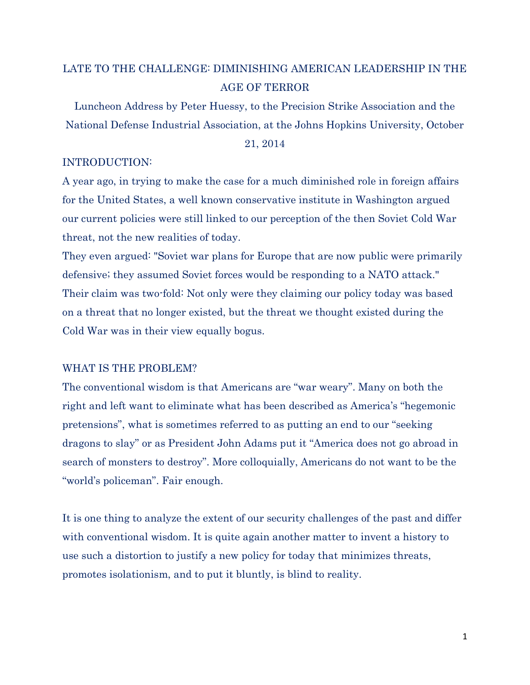# LATE TO THE CHALLENGE: DIMINISHING AMERICAN LEADERSHIP IN THE AGE OF TERROR

Luncheon Address by Peter Huessy, to the Precision Strike Association and the National Defense Industrial Association, at the Johns Hopkins University, October

#### 21, 2014

## INTRODUCTION:

A year ago, in trying to make the case for a much diminished role in foreign affairs for the United States, a well known conservative institute in Washington argued our current policies were still linked to our perception of the then Soviet Cold War threat, not the new realities of today.

They even argued: "Soviet war plans for Europe that are now public were primarily defensive; they assumed Soviet forces would be responding to a NATO attack." Their claim was two-fold: Not only were they claiming our policy today was based on a threat that no longer existed, but the threat we thought existed during the Cold War was in their view equally bogus.

## WHAT IS THE PROBLEM?

The conventional wisdom is that Americans are "war weary". Many on both the right and left want to eliminate what has been described as America's "hegemonic pretensions", what is sometimes referred to as putting an end to our "seeking dragons to slay" or as President John Adams put it "America does not go abroad in search of monsters to destroy". More colloquially, Americans do not want to be the "world's policeman". Fair enough.

It is one thing to analyze the extent of our security challenges of the past and differ with conventional wisdom. It is quite again another matter to invent a history to use such a distortion to justify a new policy for today that minimizes threats, promotes isolationism, and to put it bluntly, is blind to reality.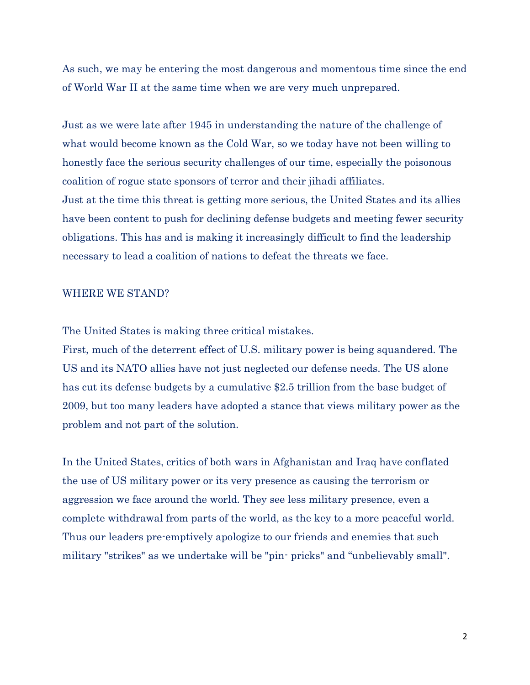As such, we may be entering the most dangerous and momentous time since the end of World War II at the same time when we are very much unprepared.

Just as we were late after 1945 in understanding the nature of the challenge of what would become known as the Cold War, so we today have not been willing to honestly face the serious security challenges of our time, especially the poisonous coalition of rogue state sponsors of terror and their jihadi affiliates. Just at the time this threat is getting more serious, the United States and its allies have been content to push for declining defense budgets and meeting fewer security obligations. This has and is making it increasingly difficult to find the leadership necessary to lead a coalition of nations to defeat the threats we face.

#### WHERE WE STAND?

The United States is making three critical mistakes.

First, much of the deterrent effect of U.S. military power is being squandered. The US and its NATO allies have not just neglected our defense needs. The US alone has cut its defense budgets by a cumulative \$2.5 trillion from the base budget of 2009, but too many leaders have adopted a stance that views military power as the problem and not part of the solution.

In the United States, critics of both wars in Afghanistan and Iraq have conflated the use of US military power or its very presence as causing the terrorism or aggression we face around the world. They see less military presence, even a complete withdrawal from parts of the world, as the key to a more peaceful world. Thus our leaders pre-emptively apologize to our friends and enemies that such military "strikes" as we undertake will be "pin- pricks" and "unbelievably small".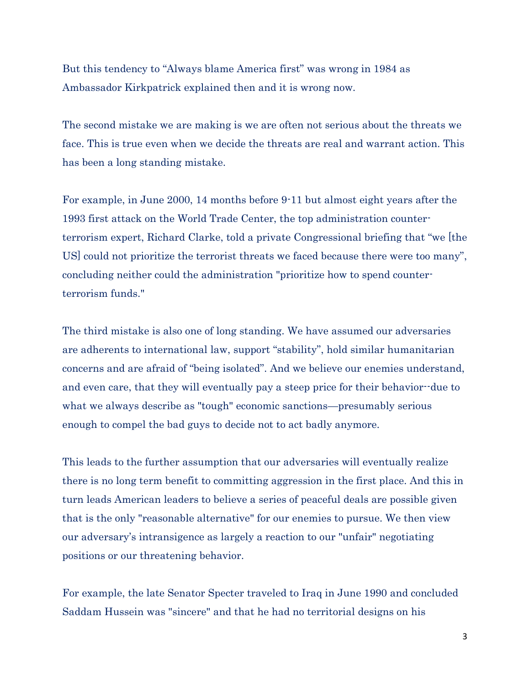But this tendency to "Always blame America first" was wrong in 1984 as Ambassador Kirkpatrick explained then and it is wrong now.

The second mistake we are making is we are often not serious about the threats we face. This is true even when we decide the threats are real and warrant action. This has been a long standing mistake.

For example, in June 2000, 14 months before 9-11 but almost eight years after the 1993 first attack on the World Trade Center, the top administration counterterrorism expert, Richard Clarke, told a private Congressional briefing that "we [the US] could not prioritize the terrorist threats we faced because there were too many", concluding neither could the administration "prioritize how to spend counterterrorism funds."

The third mistake is also one of long standing. We have assumed our adversaries are adherents to international law, support "stability", hold similar humanitarian concerns and are afraid of "being isolated". And we believe our enemies understand, and even care, that they will eventually pay a steep price for their behavior--due to what we always describe as "tough" economic sanctions—presumably serious enough to compel the bad guys to decide not to act badly anymore.

This leads to the further assumption that our adversaries will eventually realize there is no long term benefit to committing aggression in the first place. And this in turn leads American leaders to believe a series of peaceful deals are possible given that is the only "reasonable alternative" for our enemies to pursue. We then view our adversary's intransigence as largely a reaction to our "unfair" negotiating positions or our threatening behavior.

For example, the late Senator Specter traveled to Iraq in June 1990 and concluded Saddam Hussein was "sincere" and that he had no territorial designs on his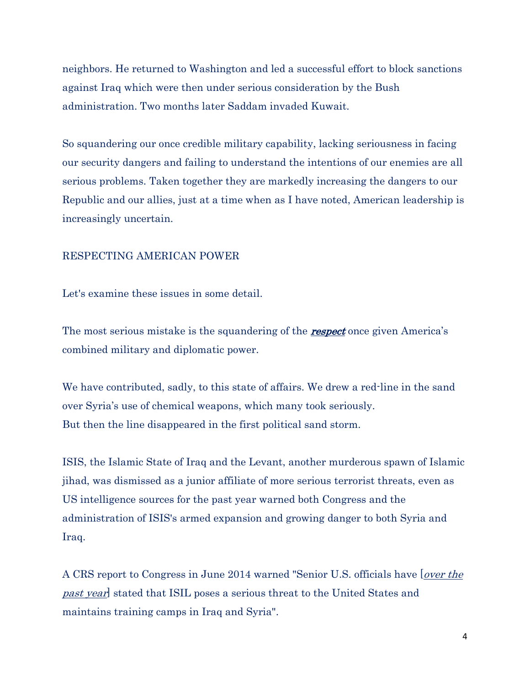neighbors. He returned to Washington and led a successful effort to block sanctions against Iraq which were then under serious consideration by the Bush administration. Two months later Saddam invaded Kuwait.

So squandering our once credible military capability, lacking seriousness in facing our security dangers and failing to understand the intentions of our enemies are all serious problems. Taken together they are markedly increasing the dangers to our Republic and our allies, just at a time when as I have noted, American leadership is increasingly uncertain.

#### RESPECTING AMERICAN POWER

Let's examine these issues in some detail.

The most serious mistake is the squandering of the **respect** once given America's combined military and diplomatic power.

We have contributed, sadly, to this state of affairs. We drew a red-line in the sand over Syria's use of chemical weapons, which many took seriously. But then the line disappeared in the first political sand storm.

ISIS, the Islamic State of Iraq and the Levant, another murderous spawn of Islamic jihad, was dismissed as a junior affiliate of more serious terrorist threats, even as US intelligence sources for the past year warned both Congress and the administration of ISIS's armed expansion and growing danger to both Syria and Iraq.

A CRS report to Congress in June 2014 warned "Senior U.S. officials have *over the* past year] stated that ISIL poses a serious threat to the United States and maintains training camps in Iraq and Syria".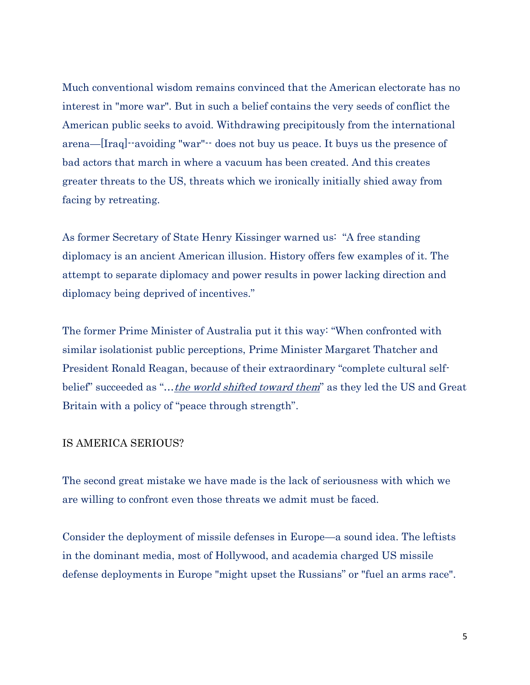Much conventional wisdom remains convinced that the American electorate has no interest in "more war". But in such a belief contains the very seeds of conflict the American public seeks to avoid. Withdrawing precipitously from the international arena—[Iraq]--avoiding "war"-- does not buy us peace. It buys us the presence of bad actors that march in where a vacuum has been created. And this creates greater threats to the US, threats which we ironically initially shied away from facing by retreating.

As former Secretary of State Henry Kissinger warned us: "A free standing diplomacy is an ancient American illusion. History offers few examples of it. The attempt to separate diplomacy and power results in power lacking direction and diplomacy being deprived of incentives."

The former Prime Minister of Australia put it this way: "When confronted with similar isolationist public perceptions, Prime Minister Margaret Thatcher and President Ronald Reagan, because of their extraordinary "complete cultural selfbelief" succeeded as "...the world shifted toward them" as they led the US and Great Britain with a policy of "peace through strength".

## IS AMERICA SERIOUS?

The second great mistake we have made is the lack of seriousness with which we are willing to confront even those threats we admit must be faced.

Consider the deployment of missile defenses in Europe—a sound idea. The leftists in the dominant media, most of Hollywood, and academia charged US missile defense deployments in Europe "might upset the Russians" or "fuel an arms race".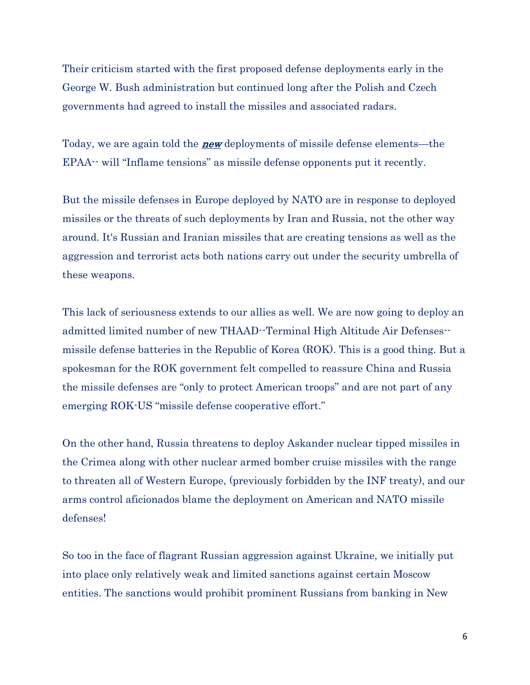Their criticism started with the first proposed defense deployments early in the George W. Bush administration but continued long after the Polish and Czech governments had agreed to install the missiles and associated radars.

Today, we are again told the **new** deployments of missile defense elements—the EPAA-- will "Inflame tensions" as missile defense opponents put it recently.

But the missile defenses in Europe deployed by NATO are in response to deployed missiles or the threats of such deployments by Iran and Russia, not the other way around. It's Russian and Iranian missiles that are creating tensions as well as the aggression and terrorist acts both nations carry out under the security umbrella of these weapons.

This lack of seriousness extends to our allies as well. We are now going to deploy an admitted limited number of new THAAD--Terminal High Altitude Air Defenses- missile defense batteries in the Republic of Korea (ROK). This is a good thing. But a spokesman for the ROK government felt compelled to reassure China and Russia the missile defenses are "only to protect American troops" and are not part of any emerging ROK-US "missile defense cooperative effort."

On the other hand, Russia threatens to deploy Askander nuclear tipped missiles in the Crimea along with other nuclear armed bomber cruise missiles with the range to threaten all of Western Europe, (previously forbidden by the INF treaty), and our arms control aficionados blame the deployment on American and NATO missile defenses!

So too in the face of flagrant Russian aggression against Ukraine, we initially put into place only relatively weak and limited sanctions against certain Moscow entities. The sanctions would prohibit prominent Russians from banking in New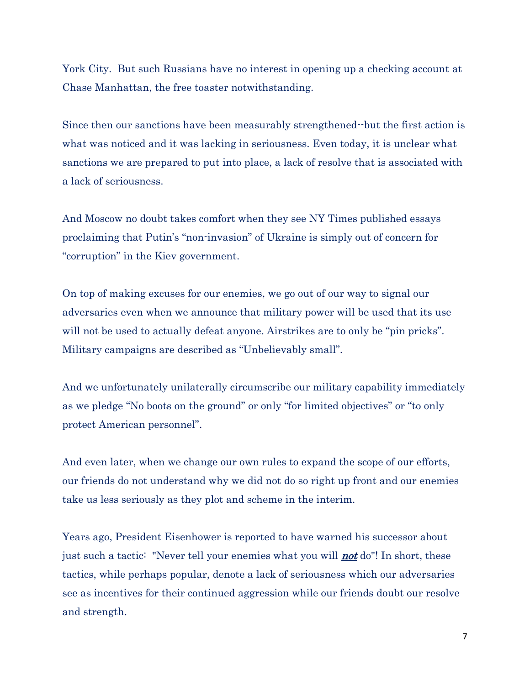York City. But such Russians have no interest in opening up a checking account at Chase Manhattan, the free toaster notwithstanding.

Since then our sanctions have been measurably strengthened--but the first action is what was noticed and it was lacking in seriousness. Even today, it is unclear what sanctions we are prepared to put into place, a lack of resolve that is associated with a lack of seriousness.

And Moscow no doubt takes comfort when they see NY Times published essays proclaiming that Putin's "non-invasion" of Ukraine is simply out of concern for "corruption" in the Kiev government.

On top of making excuses for our enemies, we go out of our way to signal our adversaries even when we announce that military power will be used that its use will not be used to actually defeat anyone. Airstrikes are to only be "pin pricks". Military campaigns are described as "Unbelievably small".

And we unfortunately unilaterally circumscribe our military capability immediately as we pledge "No boots on the ground" or only "for limited objectives" or "to only protect American personnel".

And even later, when we change our own rules to expand the scope of our efforts, our friends do not understand why we did not do so right up front and our enemies take us less seriously as they plot and scheme in the interim.

Years ago, President Eisenhower is reported to have warned his successor about just such a tactic: "Never tell your enemies what you will **not** do"! In short, these tactics, while perhaps popular, denote a lack of seriousness which our adversaries see as incentives for their continued aggression while our friends doubt our resolve and strength.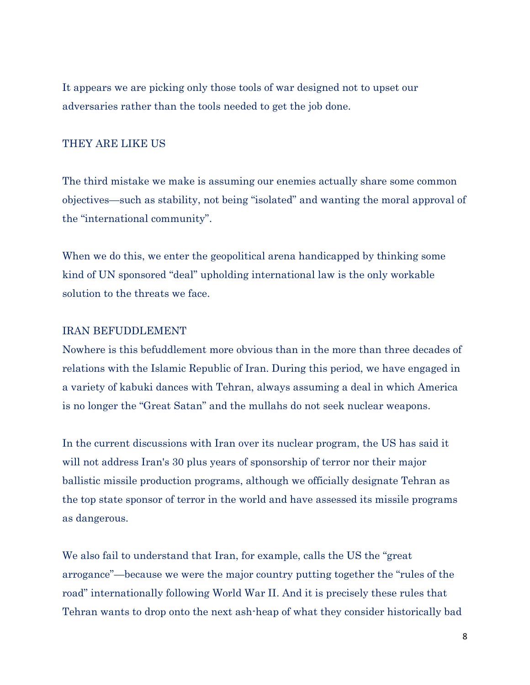It appears we are picking only those tools of war designed not to upset our adversaries rather than the tools needed to get the job done.

# THEY ARE LIKE US

The third mistake we make is assuming our enemies actually share some common objectives—such as stability, not being "isolated" and wanting the moral approval of the "international community".

When we do this, we enter the geopolitical arena handicapped by thinking some kind of UN sponsored "deal" upholding international law is the only workable solution to the threats we face.

## IRAN BEFUDDLEMENT

Nowhere is this befuddlement more obvious than in the more than three decades of relations with the Islamic Republic of Iran. During this period, we have engaged in a variety of kabuki dances with Tehran, always assuming a deal in which America is no longer the "Great Satan" and the mullahs do not seek nuclear weapons.

In the current discussions with Iran over its nuclear program, the US has said it will not address Iran's 30 plus years of sponsorship of terror nor their major ballistic missile production programs, although we officially designate Tehran as the top state sponsor of terror in the world and have assessed its missile programs as dangerous.

We also fail to understand that Iran, for example, calls the US the "great arrogance"—because we were the major country putting together the "rules of the road" internationally following World War II. And it is precisely these rules that Tehran wants to drop onto the next ash-heap of what they consider historically bad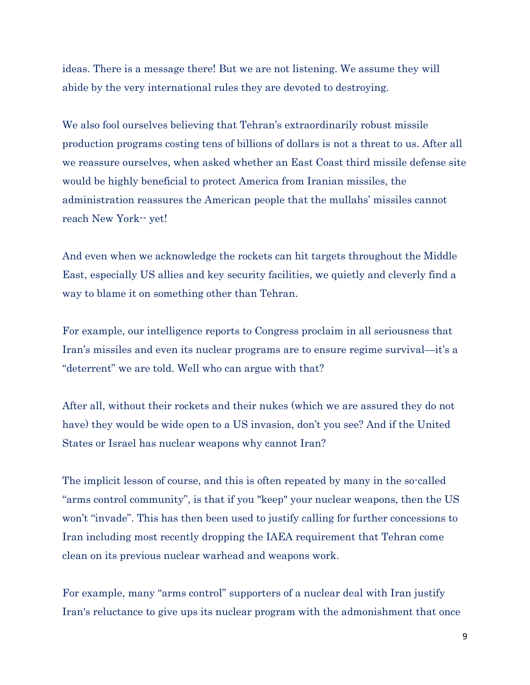ideas. There is a message there! But we are not listening. We assume they will abide by the very international rules they are devoted to destroying.

We also fool ourselves believing that Tehran's extraordinarily robust missile production programs costing tens of billions of dollars is not a threat to us. After all we reassure ourselves, when asked whether an East Coast third missile defense site would be highly beneficial to protect America from Iranian missiles, the administration reassures the American people that the mullahs' missiles cannot reach New York-- yet!

And even when we acknowledge the rockets can hit targets throughout the Middle East, especially US allies and key security facilities, we quietly and cleverly find a way to blame it on something other than Tehran.

For example, our intelligence reports to Congress proclaim in all seriousness that Iran's missiles and even its nuclear programs are to ensure regime survival—it's a "deterrent" we are told. Well who can argue with that?

After all, without their rockets and their nukes (which we are assured they do not have) they would be wide open to a US invasion, don't you see? And if the United States or Israel has nuclear weapons why cannot Iran?

The implicit lesson of course, and this is often repeated by many in the so-called "arms control community", is that if you "keep" your nuclear weapons, then the US won't "invade". This has then been used to justify calling for further concessions to Iran including most recently dropping the IAEA requirement that Tehran come clean on its previous nuclear warhead and weapons work.

For example, many "arms control" supporters of a nuclear deal with Iran justify Iran's reluctance to give ups its nuclear program with the admonishment that once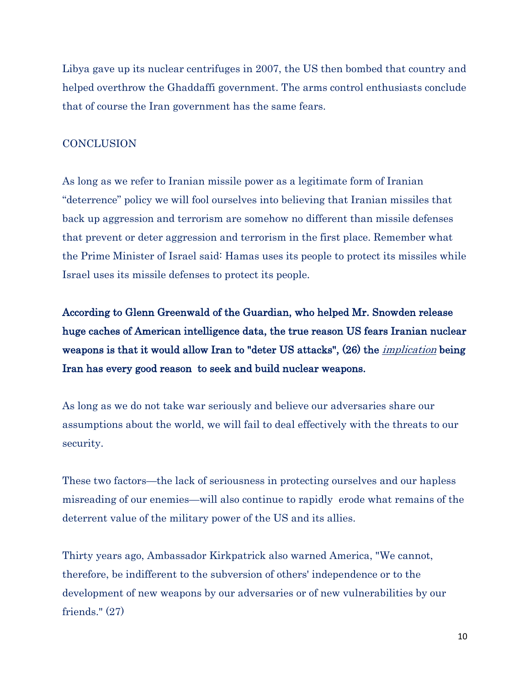Libya gave up its nuclear centrifuges in 2007, the US then bombed that country and helped overthrow the Ghaddaffi government. The arms control enthusiasts conclude that of course the Iran government has the same fears.

# **CONCLUSION**

As long as we refer to Iranian missile power as a legitimate form of Iranian "deterrence" policy we will fool ourselves into believing that Iranian missiles that back up aggression and terrorism are somehow no different than missile defenses that prevent or deter aggression and terrorism in the first place. Remember what the Prime Minister of Israel said: Hamas uses its people to protect its missiles while Israel uses its missile defenses to protect its people.

According to Glenn Greenwald of the Guardian, who helped Mr. Snowden release huge caches of American intelligence data, the true reason US fears Iranian nuclear weapons is that it would allow Iran to "deter US attacks", (26) the *implication* being Iran has every good reason to seek and build nuclear weapons.

As long as we do not take war seriously and believe our adversaries share our assumptions about the world, we will fail to deal effectively with the threats to our security.

These two factors—the lack of seriousness in protecting ourselves and our hapless misreading of our enemies—will also continue to rapidly erode what remains of the deterrent value of the military power of the US and its allies.

Thirty years ago, Ambassador Kirkpatrick also warned America, "We cannot, therefore, be indifferent to the subversion of others' independence or to the development of new weapons by our adversaries or of new vulnerabilities by our friends." (27)